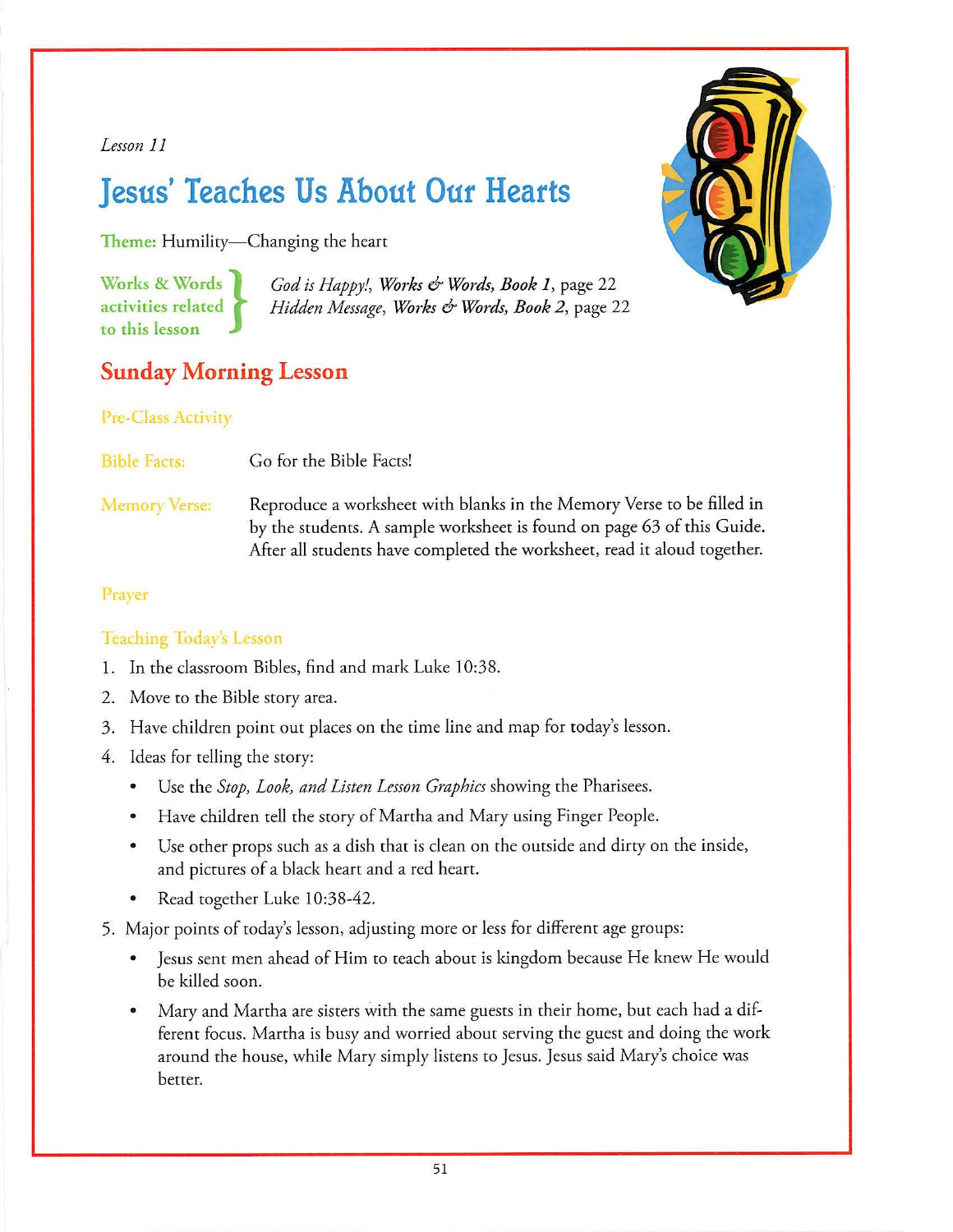#### *Lesson 11*

# **Jesus' Teaches Us About Our Hearts**

**Theme:** Humility-Changing the heart

**Works** & **Words** } **activities related to this lesson** 

*God is Happy!, Works & Words, Book* **1,** page 22 *Hidden Message, Works & Words, Book 2,* page 22

## **Sunday Morning Lesson**

#### **Pre-Class Activity**

**Bible Facts: Go for the Bible Facts!** 

**Memory Verse:** Reproduce a worksheet with blanks in the Memory Verse to be filled in by the students. A sample worksheet is found on page 63 of this Guide. After all students have completed the worksheet, read it aloud together.

#### **Prayer**

#### **Teaching Today's Lesson**

- 1. In the classroom Bibles, find and mark Luke 10:38.
- 2. Move to the Bible story area.
- 3. Have children point out places on the time line and map for today's lesson.
- 4. Ideas for celling the story:
	- Use the *Stop, Look, and Listen Lesson Graphics* showing the Pharisees.
	- Have children tell the story of Martha and Mary using Finger People.
	- Use other props such as a dish that is clean on the outside and dirty on the inside, and pictures of a black heart and a red heart.
	- Read together Luke 10:38-42.
- 5. Major points of today's lesson, adjusting more or less for different age groups:
	- Jesus sent men ahead of Him to teach about is kingdom because He knew He would be killed soon.
	- Mary and Martha are sisters with the same guests in their home, but each had a different focus. Martha is busy and worried about serving the guest and doing the work around the house, while Mary simply listens to Jesus. Jesus said Mary's choice was better.

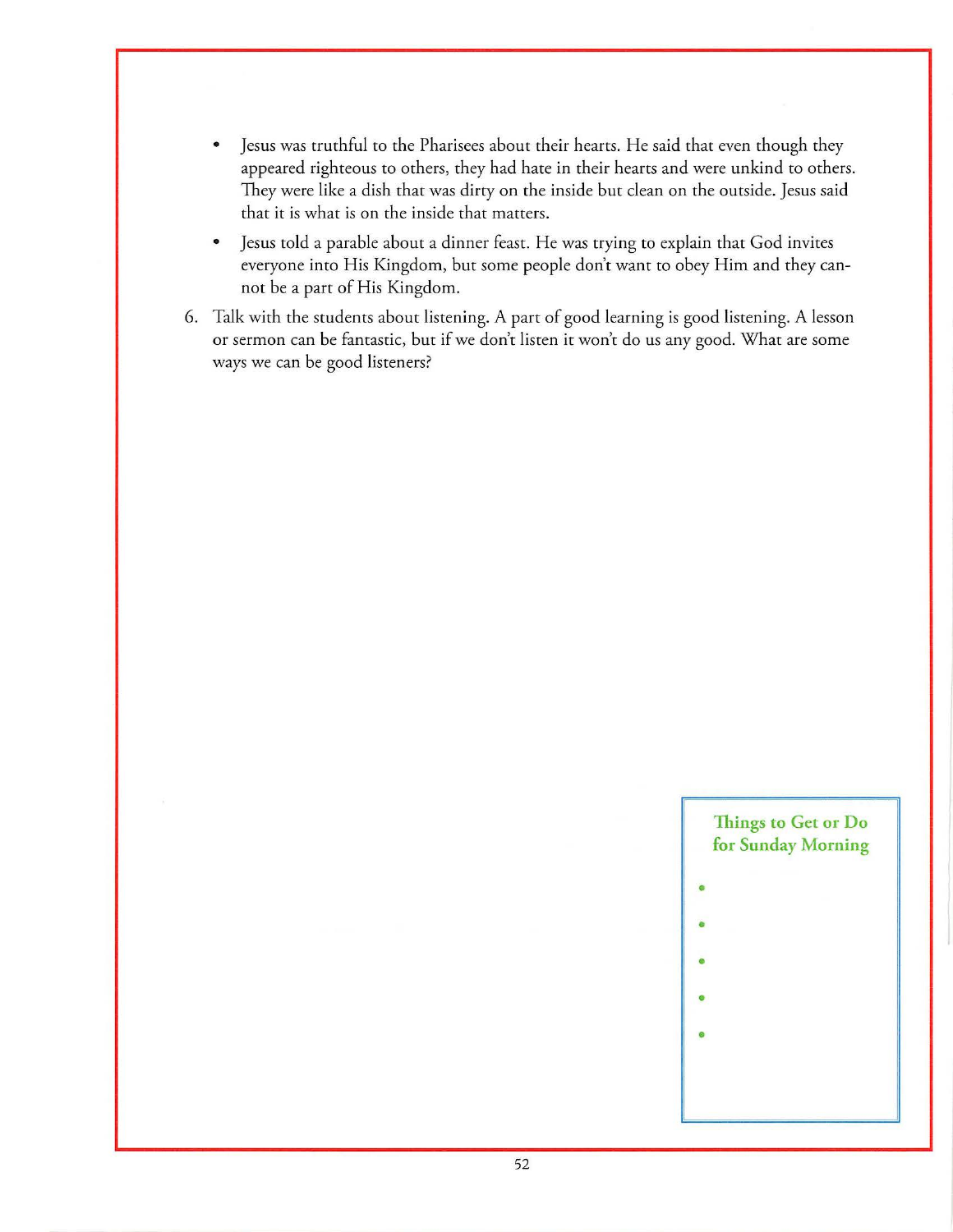- Jesus was truthful to the Pharisees about their hearts. He said that even though they appeared righteous to others, they had hare in their hearts and were unkind to others. They were like a dish rhar was dirty on the inside bur clean on the outside. Jesus said that it is what is on the inside that matters.
- Jesus told a parable about a dinner feast. He was trying to explain that God invites everyone into His Kingdom, but some people don't want to obey Him and they cannot be a part of His Kingdom.
- 6. Talk with the students about listening. A part of good learning is good listening. A lesson or sermon can be fantastic, but if we don't listen it won't do us any good. What are some ways we can be good listeners?

#### **Things to Get or Do for Sunday Morning**

- •
- •
- 
- •
- •

I

•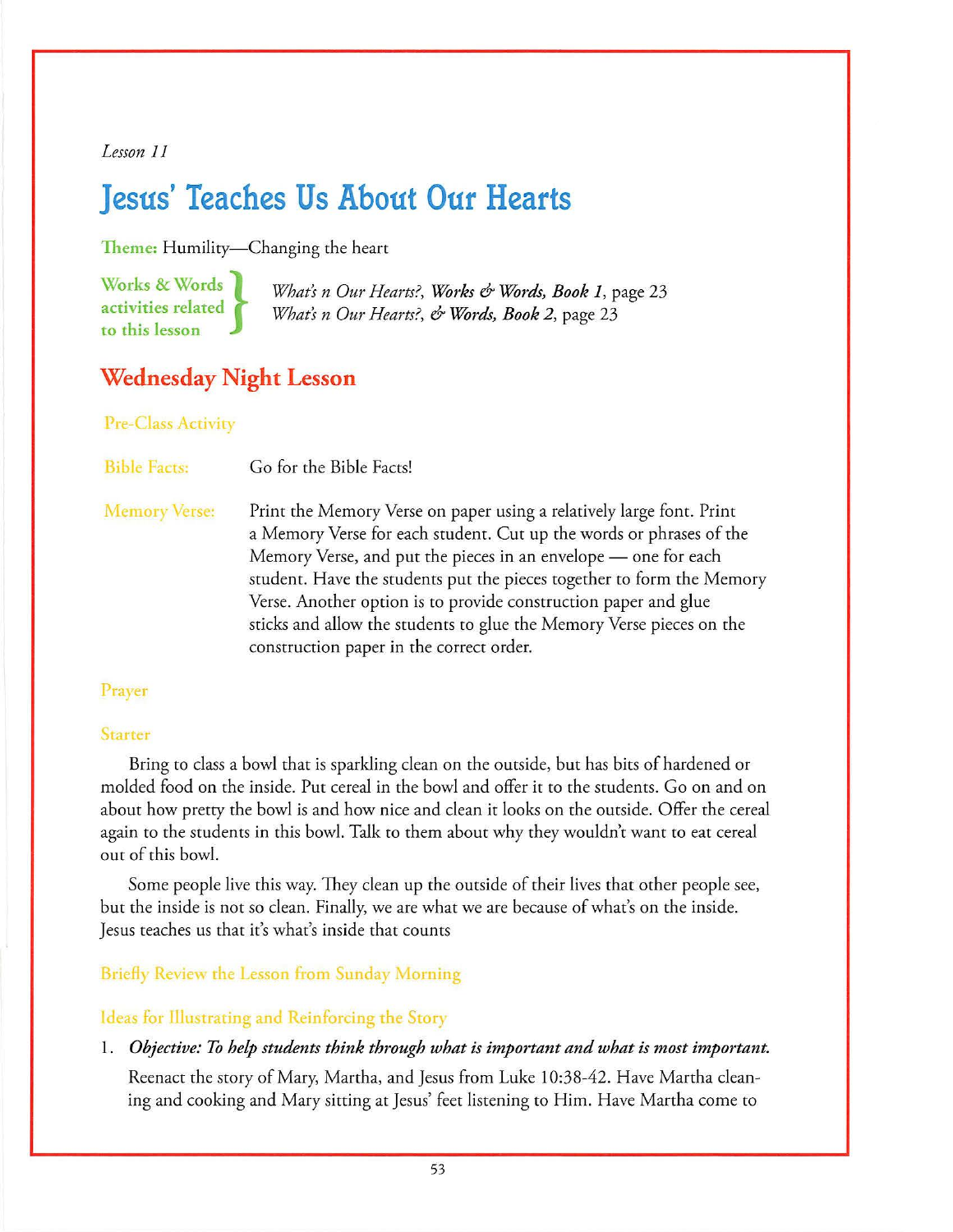#### *Lesson 11*

## **Jesus' Teaches Us About Our Hearts**

**Theme:** Humility-Changing the heart

**Works** & **Words** } **activities related to this lesson** 

*What's n Our Hearts?, Works & Words, Book 1, page 23 What's n Our Hearts?, & Words, Book 2, page 23* 

### **Wednesday Night Lesson**

#### **Pre- Class Activity**

**Bible Facts:**  Go for the Bible Facts!

**Memory Verse:**  Print the Memory Verse on paper using a relatively large font. Print a Memory Verse for each student. Cut up the words or phrases of the Memory Verse, and put the pieces in an envelope — one for each student. Have the students put the pieces together to form the Memory Verse. Another option is to provide construction paper and glue sticks and allow the students to glue the Memory Verse pieces on the construction paper in the correct order.

#### **Prayer**

#### Starter

Bring to class a bowl that is sparkling clean on the outside, but has bits of hardened or molded food on the inside. Put cereal in the bowl and offer it to the students. Go on and on about how pretty the bowl is and how nice and clean it looks on the outside. Offer the cereal again to the students in this bowl. Talk to them about why they wouldn't want to eat cereal out of this bowl.

Some people live this way. They clean up the outside of their lives that other people see, but the inside is not so clean. Finally, we are what we are because of what's on the inside. Jesus teaches us that it's what's inside that counts

**Briefly Review the Lesson from Sunday Morning** 

#### Ideas for Illustrating and Reinforcing the Story

#### 1. *Objective:* To *help students think through what is important and what is most important.*

Reenact the story of Mary, Martha, and Jesus from Luke 10:38-42. Have Martha cleaning and cooking and Mary sitting at Jesus' feet listening to Him. Have Martha come to